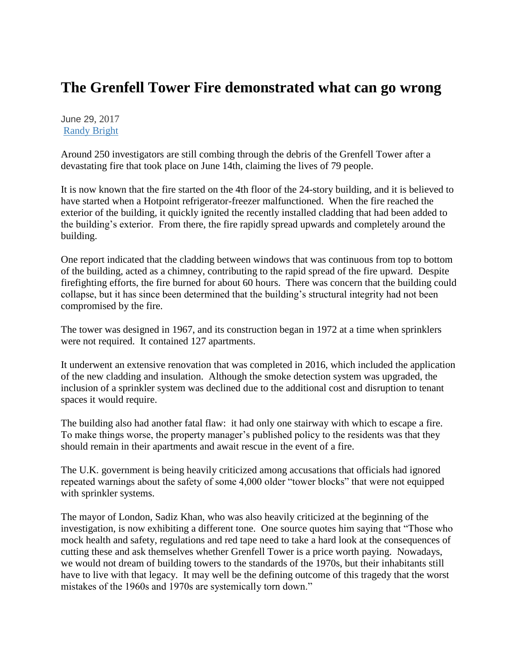## **The Grenfell Tower Fire demonstrated what can go wrong**

June 29, 2017 [Randy Bright](http://tulsabeacon.com/author/randy-bright/)

Around 250 investigators are still combing through the debris of the Grenfell Tower after a devastating fire that took place on June 14th, claiming the lives of 79 people.

It is now known that the fire started on the 4th floor of the 24-story building, and it is believed to have started when a Hotpoint refrigerator-freezer malfunctioned. When the fire reached the exterior of the building, it quickly ignited the recently installed cladding that had been added to the building's exterior. From there, the fire rapidly spread upwards and completely around the building.

One report indicated that the cladding between windows that was continuous from top to bottom of the building, acted as a chimney, contributing to the rapid spread of the fire upward. Despite firefighting efforts, the fire burned for about 60 hours. There was concern that the building could collapse, but it has since been determined that the building's structural integrity had not been compromised by the fire.

The tower was designed in 1967, and its construction began in 1972 at a time when sprinklers were not required. It contained 127 apartments.

It underwent an extensive renovation that was completed in 2016, which included the application of the new cladding and insulation. Although the smoke detection system was upgraded, the inclusion of a sprinkler system was declined due to the additional cost and disruption to tenant spaces it would require.

The building also had another fatal flaw: it had only one stairway with which to escape a fire. To make things worse, the property manager's published policy to the residents was that they should remain in their apartments and await rescue in the event of a fire.

The U.K. government is being heavily criticized among accusations that officials had ignored repeated warnings about the safety of some 4,000 older "tower blocks" that were not equipped with sprinkler systems.

The mayor of London, Sadiz Khan, who was also heavily criticized at the beginning of the investigation, is now exhibiting a different tone. One source quotes him saying that "Those who mock health and safety, regulations and red tape need to take a hard look at the consequences of cutting these and ask themselves whether Grenfell Tower is a price worth paying. Nowadays, we would not dream of building towers to the standards of the 1970s, but their inhabitants still have to live with that legacy. It may well be the defining outcome of this tragedy that the worst mistakes of the 1960s and 1970s are systemically torn down."